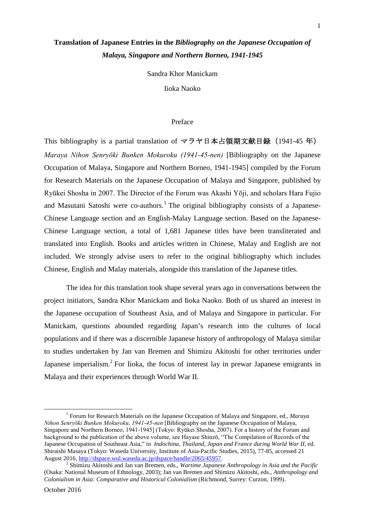# **Translation of Japanese Entries in the** *Bibliography on the Japanese Occupation of Malaya, Singapore and Northern Borneo, 1941-1945*

Sandra Khor Manickam

Iioka Naoko

## Preface

This bibliography is a partial translation of マラヤ日本占領期文献目録(1941-45 年) *Maraya Nihon Senryōki Bunken Mokuroku (1941-45-nen)* [Bibliography on the Japanese Occupation of Malaya, Singapore and Northern Borneo, 1941-1945] compiled by the Forum for Research Materials on the Japanese Occupation of Malaya and Singapore, published by Ryūkei Shosha in 2007. The Director of the Forum was Akashi Yōji, and scholars Hara Fujio and Masutani Satoshi were co-authors.<sup>[1](#page-0-0)</sup> The original bibliography consists of a Japanese-Chinese Language section and an English-Malay Language section. Based on the Japanese-Chinese Language section, a total of 1,681 Japanese titles have been transliterated and translated into English. Books and articles written in Chinese, Malay and English are not included. We strongly advise users to refer to the original bibliography which includes Chinese, English and Malay materials, alongside this translation of the Japanese titles.

The idea for this translation took shape several years ago in conversations between the project initiators, Sandra Khor Manickam and Iioka Naoko. Both of us shared an interest in the Japanese occupation of Southeast Asia, and of Malaya and Singapore in particular. For Manickam, questions abounded regarding Japan's research into the cultures of local populations and if there was a discernible Japanese history of anthropology of Malaya similar to studies undertaken by Jan van Bremen and Shimizu Akitoshi for other territories under Japanese imperialism.<sup>[2](#page-0-1)</sup> For Iioka, the focus of interest lay in prewar Japanese emigrants in Malaya and their experiences through World War II.

<span id="page-0-0"></span><sup>1</sup> Forum for Research Materials on the Japanese Occupation of Malaya and Singapore, ed., *Maraya Nihon Senryōki Bunken Mokuroku, 1941-45-nen* [Bibliography on the Japanese Occupation of Malaya, Singapore and Northern Borneo, 1941-1945] (Tokyo: Ryūkei Shosha, 2007). For a history of the Forum and background to the publication of the above volume, see Hayase Shinzō, "The Compilation of Records of the Japanese Occupation of Southeast Asia," in *Indochina, Thailand, Japan and France during World War II*, ed. Shiraishi Masaya (Tokyo: Waseda University, Institute of Asia-Pacific Studies, 2015), 77-85, accessed 21 August 2016, http://dspace.wul.waseda.ac.jp/dspace/handle/2065/45957.

<span id="page-0-1"></span><sup>2</sup> Shimizu Akitoshi and Jan van Bremen, eds., *Wartime Japanese Anthropology in Asia and the Pacific* (Osaka: National Museum of Ethnology, 2003); Jan van Bremen and Shimizu Akitoshi, eds., *Anthropology and Colonialism in Asia: Comparative and Historical Colonialism* (Richmond, Surrey: Curzon, 1999).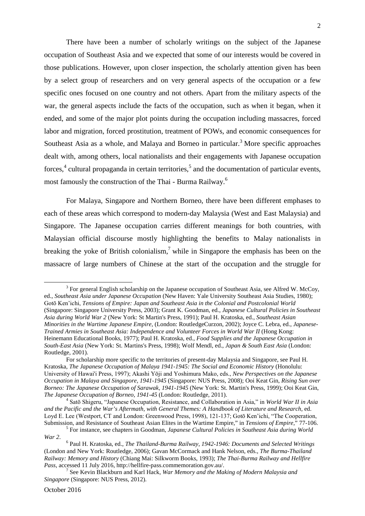There have been a number of scholarly writings on the subject of the Japanese occupation of Southeast Asia and we expected that some of our interests would be covered in those publications. However, upon closer inspection, the scholarly attention given has been by a select group of researchers and on very general aspects of the occupation or a few specific ones focused on one country and not others. Apart from the military aspects of the war, the general aspects include the facts of the occupation, such as when it began, when it ended, and some of the major plot points during the occupation including massacres, forced labor and migration, forced prostitution, treatment of POWs, and economic consequences for Southeast Asia as a whole, and Malaya and Borneo in particular.<sup>[3](#page-1-0)</sup> More specific approaches dealt with, among others, local nationalists and their engagements with Japanese occupation forces,<sup>[4](#page-1-1)</sup> cultural propaganda in certain territories,<sup>[5](#page-1-2)</sup> and the documentation of particular events, most famously the construction of the Thai - Burma Railway.[6](#page-1-3)

For Malaya, Singapore and Northern Borneo, there have been different emphases to each of these areas which correspond to modern-day Malaysia (West and East Malaysia) and Singapore. The Japanese occupation carries different meanings for both countries, with Malaysian official discourse mostly highlighting the benefits to Malay nationalists in breaking the yoke of British colonialism,<sup>[7](#page-1-4)</sup> while in Singapore the emphasis has been on the massacre of large numbers of Chinese at the start of the occupation and the struggle for

<span id="page-1-0"></span> $3$  For general English scholarship on the Japanese occupation of Southeast Asia, see Alfred W. McCoy, ed., *Southeast Asia under Japanese Occupation* (New Haven: Yale University Southeast Asia Studies, 1980); Gotō Ken'ichi, *Tensions of Empire: Japan and Southeast Asia in the Colonial and Postcolonial World* (Singapore: Singapore University Press, 2003); Grant K. Goodman, ed., *Japanese Cultural Policies in Southeast Asia during World War 2* (New York: St Martin's Press, 1991); Paul H. Kratoska, ed., *Southeast Asian Minorities in the Wartime Japanese Empire*, (London: RoutledgeCurzon, 2002); Joyce C. Lebra, ed., *Japanese-Trained Armies in Southeast Asia: Independence and Volunteer Forces in World War II* (Hong Kong: Heinemann Educational Books, 1977); Paul H. Kratoska, ed., *Food Supplies and the Japanese Occupation in South-East Asia* (New York: St. Martins's Press, 1998); Wolf Mendl, ed., *Japan & South East Asia* (London: Routledge, 2001).

For scholarship more specific to the territories of present-day Malaysia and Singapore, see Paul H. Kratoska, *The Japanese Occupation of Malaya 1941-1945: The Social and Economic History* (Honolulu: University of Hawai'i Press, 1997); Akashi Yōji and Yoshimura Mako, eds., *New Perspectives on the Japanese Occupation in Malaya and Singapore, 1941-1945* (Singapore: NUS Press, 2008); Ooi Keat Gin, *Rising Sun over Borneo: The Japanese Occupation of Sarawak, 1941-1945* (New York: St. Martin's Press, 1999); Ooi Keat Gin, *The Japanese Occupation of Borneo, 1941-45* (London: Routledge, 2011).

<span id="page-1-1"></span><sup>4</sup> Satō Shigeru, "Japanese Occupation, Resistance, and Collaboration in Asia," in *World War II in Asia and the Pacific and the War's Aftermath, with General Themes: A Handbook of Literature and Research*, ed. Loyd E. Lee (Westport, CT and London: Greenwood Press, 1998), 121-137; Gotō Ken'ichi, "The Cooperation, Submission, and Resistance of Southeast Asian Elites in the Wartime Empire," in *Tensions of Empire,*" 77-106.

<span id="page-1-2"></span><sup>5</sup> For instance, see chapters in Goodman, *Japanese Cultural Policies in Southeast Asia during World War 2*.

<span id="page-1-3"></span><sup>6</sup> Paul H. Kratoska, ed., *The Thailand-Burma Railway, 1942-1946: Documents and Selected Writings* (London and New York: Routledge, 2006); Gavan McCormack and Hank Nelson, eds., *The Burma-Thailand Railway: Memory and History* (Chiang Mai: Silkworm Books, 1993); *The Thai-Burma Railway and Hellfire Pass*, accessed 11 July 2016, http://hellfire-pass.commemoration.gov.au/.

<span id="page-1-4"></span><sup>7</sup> See Kevin Blackburn and Karl Hack, *War Memory and the Making of Modern Malaysia and Singapore* (Singapore: NUS Press, 2012).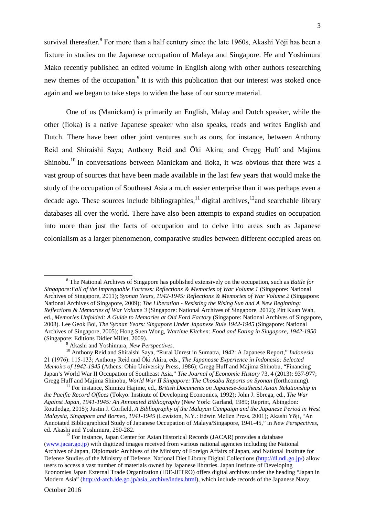survival thereafter.<sup>[8](#page-2-0)</sup> For more than a half century since the late 1960s, Akashi Yōji has been a fixture in studies on the Japanese occupation of Malaya and Singapore. He and Yoshimura Mako recently published an edited volume in English along with other authors researching new themes of the occupation.<sup>[9](#page-2-1)</sup> It is with this publication that our interest was stoked once again and we began to take steps to widen the base of our source material.

One of us (Manickam) is primarily an English, Malay and Dutch speaker, while the other (Iioka) is a native Japanese speaker who also speaks, reads and writes English and Dutch. There have been other joint ventures such as ours, for instance, between Anthony Reid and Shiraishi Saya; Anthony Reid and Ōki Akira; and Gregg Huff and Majima Shinobu.<sup>[10](#page-2-2)</sup> In conversations between Manickam and Iioka, it was obvious that there was a vast group of sources that have been made available in the last few years that would make the study of the occupation of Southeast Asia a much easier enterprise than it was perhaps even a decade ago. These sources include bibliographies,  $\frac{11}{12}$  $\frac{11}{12}$  $\frac{11}{12}$  $\frac{11}{12}$  $\frac{11}{12}$  digital archives,  $\frac{12}{2}$  and searchable library databases all over the world. There have also been attempts to expand studies on occupation into more than just the facts of occupation and to delve into areas such as Japanese colonialism as a larger phenomenon, comparative studies between different occupied areas on

<span id="page-2-0"></span><sup>8</sup> The National Archives of Singapore has published extensively on the occupation, such as *Battle for Singapore:Fall of the Impregnable Fortress: Reflections & Memories of War Volume 1* (Singapore: National Archives of Singapore, 2011); *Syonan Years, 1942-1945: Reflections & Memories of War Volume 2* (Singapore: National Archives of Singapore, 2009); *The Liberation - Resisting the Rising Sun and A New Beginning: Reflections & Memories of War Volume 3* (Singapore: National Archives of Singapore, 2012); Pitt Kuan Wah, ed., *Memories Unfolded: A Guide to Memories at Old Ford Factory* (Singapore: National Archives of Singapore, 2008). Lee Geok Boi, *The Syonan Years: Singapore Under Japanese Rule 1942-1945* (Singapore: National Archives of Singapore, 2005); Hong Suen Wong, *Wartime Kitchen: Food and Eating in Singapore, 1942-1950* (Singapore: Editions Didier Millet, 2009).

<span id="page-2-2"></span><span id="page-2-1"></span><sup>9</sup> Akashi and Yoshimura, *New Perspectives*.

<sup>10</sup> Anthony Reid and Shiraishi Saya, "Rural Unrest in Sumatra, 1942: A Japanese Report," *Indonesia* 21 (1976): 115-133; Anthony Reid and Ōki Akira, eds., *The Japanease Experience in Indonesia: Selected Memoirs of 1942-1945* (Athens: Ohio University Press, 1986); Gregg Huff and Majima Shinobu, "Financing Japan's World War II Occupation of Southeast Asia," *The Journal of Economic History* 73, 4 (2013): 937-977; Gregg Huff and Majima Shinobu, *World War II Singapore: The Chosabu Reports on Syonan* (forthcoming).

<span id="page-2-3"></span><sup>11</sup> For instance, Shimizu Hajime, ed., *British Documents on Japanese-Southeast Asian Relationship in the Pacific Record Offices* (Tokyo: Institute of Developing Economics, 1992); John J. Sbrega, ed., *The War Against Japan, 1941-1945: An Annotated Bibliography* (New York: Garland, 1989; Reprint, Abingdon: Routledge, 2015); Justin J. Corfield, *A Bibliography of the Malayan Campaign and the Japanese Period in West Malaysia, Singapore and Borneo, 1941-1945* (Lewiston, N.Y.: Edwin Mellen Press, 2001); Akashi Yōji, "An Annotated Bibliographical Study of Japanese Occupation of Malaya/Singapore, 1941-45," in *New Perspectives*, ed. Akashi and Yoshimura, 250-282.

<span id="page-2-4"></span><sup>&</sup>lt;sup>12</sup> For instance, Japan Center for Asian Historical Records (JACAR) provides a database (www.jacar.go.jp) with digitized images received from various national agencies including the National Archives of Japan, Diplomatic Archives of the Ministry of Foreign Affairs of Japan, and National Institute for Defense Studies of the Ministry of Defense. National Diet Library Digital Collections (http://dl.ndl.go.jp/) allow users to access a vast number of materials owned by Japanese libraries. Japan Institute of Developing Economies Japan External Trade Organization (IDE-JETRO) offers digital archives under the heading "Japan in Modern Asia" (http://d-arch.ide.go.jp/asia\_archive/index.html), which include records of the Japanese Navy.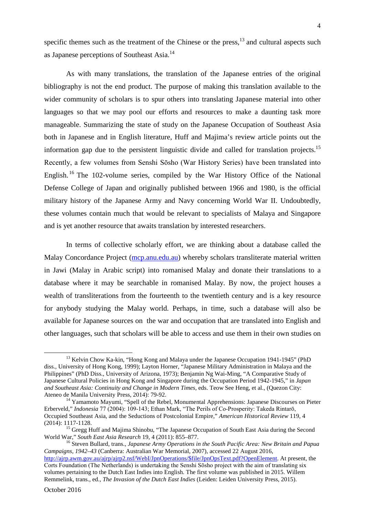specific themes such as the treatment of the Chinese or the press, $^{13}$  $^{13}$  $^{13}$  and cultural aspects such as Japanese perceptions of SoutheastAsia[.](#page-3-1)<sup>14</sup>

As with many translations, the translation of the Japanese entries of the original bibliography is not the end product. The purpose of making this translation available to the wider community of scholars is to spur others into translating Japanese material into other languages so that we may pool our efforts and resources to make a daunting task more manageable. Summarizing the state of study on the Japanese Occupation of Southeast Asia both in Japanese and in English literature, Huff and Majima's review article points out the information gap due to the persistent linguistic divide and called for translation projects.<sup>[15](#page-3-2)</sup> Recently, a few volumes from Senshi Sōsho (War History Series) have been translated into English. [16](#page-3-3) The 102-volume series, compiled by the War History Office of the National Defense College of Japan and originally published between 1966 and 1980, is the official military history of the Japanese Army and Navy concerning World War II. Undoubtedly, these volumes contain much that would be relevant to specialists of Malaya and Singapore and is yet another resource that awaits translation by interested researchers.

In terms of collective scholarly effort, we are thinking about a database called the Malay Concordance Project (mcp.anu.edu.au) whereby scholars transliterate material written in Jawi (Malay in Arabic script) into romanised Malay and donate their translations to a database where it may be searchable in romanised Malay. By now, the project houses a wealth of transliterations from the fourteenth to the twentieth century and is a key resource for anybody studying the Malay world. Perhaps, in time, such a database will also be available for Japanese sources on the war and occupation that are translated into English and other languages, such that scholars will be able to access and use them in their own studies on

<span id="page-3-0"></span><sup>&</sup>lt;sup>13</sup> Kelvin Chow Ka-kin, "Hong Kong and Malaya under the Japanese Occupation 1941-1945" (PhD diss., University of Hong Kong, 1999); Layton Horner, "Japanese Military Administration in Malaya and the Philippines" (PhD Diss., University of Arizona, 1973); Benjamin Ng Wai-Ming, "A Comparative Study of Japanese Cultural Policies in Hong Kong and Singapore during the Occupation Period 1942-1945," in *Japan and Southeast Asia: Continuity and Change in Modern Times,* eds. Teow See Heng, et al., (Quezon City: Ateneo de Manila University Press, 2014): 79-92.

<span id="page-3-1"></span><sup>&</sup>lt;sup>14</sup> Yamamoto Mayumi, "Spell of the Rebel, Monumental Apprehensions: Japanese Discourses on Pieter Erberveld," *Indonesia* 77 (2004): 109-143; Ethan Mark, "The Perils of Co-Prosperity: Takeda Rintarō, Occupied Southeast Asia, and the Seductions of Postcolonial Empire," *American Historical Review* 119, 4 (2014): 1117-1128.

<span id="page-3-2"></span><sup>&</sup>lt;sup>15</sup> Gregg Huff and Majima Shinobu, "The Japanese Occupation of South East Asia during the Second World War," *South East Asia Research* 19, 4 (2011): 855–877.

<span id="page-3-3"></span><sup>16</sup> Steven Bullard, trans., *Japanese Army Operations in the South Pacific Area: New Britain and Papua Campaigns, 1942–43* (Canberra: Australian War Memorial, 2007), accessed 22 August 2016, http://ajrp.awm.gov.au/ajrp/ajrp2.nsf/WebI/JpnOperations/\$file/JpnOpsText.pdf?OpenElement. At present, the Corts Foundation (The Netherlands) is undertaking the Senshi Sōsho project with the aim of translating six volumes pertaining to the Dutch East Indies into English. The first volume was published in 2015. Willem Remmelink, trans., ed., *The Invasion of the Dutch East Indies* (Leiden: Leiden University Press, 2015).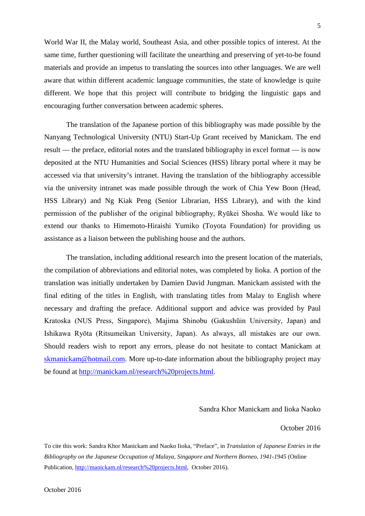World War II, the Malay world, Southeast Asia, and other possible topics of interest. At the same time, further questioning will facilitate the unearthing and preserving of yet-to-be found materials and provide an impetus to translating the sources into other languages. We are well aware that within different academic language communities, the state of knowledge is quite different. We hope that this project will contribute to bridging the linguistic gaps and encouraging further conversation between academic spheres.

The translation of the Japanese portion of this bibliography was made possible by the Nanyang Technological University (NTU) Start-Up Grant received by Manickam. The end result — the preface, editorial notes and the translated bibliography in excel format — is now deposited at the NTU Humanities and Social Sciences (HSS) library portal where it may be accessed via that university's intranet. Having the translation of the bibliography accessible via the university intranet was made possible through the work of Chia Yew Boon (Head, HSS Library) and Ng Kiak Peng (Senior Librarian, HSS Library), and with the kind permission of the publisher of the original bibliography, Ryūkei Shosha. We would like to extend our thanks to Himemoto-Hiraishi Yumiko (Toyota Foundation) for providing us assistance as a liaison between the publishing house and the authors.

The translation, including additional research into the present location of the materials, the compilation of abbreviations and editorial notes, was completed by Iioka. A portion of the translation was initially undertaken by Damien David Jungman. Manickam assisted with the final editing of the titles in English, with translating titles from Malay to English where necessary and drafting the preface. Additional support and advice was provided by Paul Kratoska (NUS Press, Singapore), Majima Shinobu (Gakushūin University, Japan) and Ishikawa Ryōta (Ritsumeikan University, Japan). As always, all mistakes are our own. Should readers wish to report any errors, please do not hesitate to contact Manickam at [skmanickam@hotmail.com](mailto:skmanickam@hotmail.com). More up-to-date information about the bibliography project may be found at [http://manickam.nl/research%20projects.html](http://manickam.nl/research projects.html).

## Sandra Khor Manickam and Iioka Naoko

### October 2016

To cite this work: Sandra Khor Manickam and Naoko Iioka, "Preface", in *Translation of Japanese Entries in the Bibliography on the Japanese Occupation of Malaya, Singapore and Northern Borneo, 1941-1945* (Online Publication, [http://manickam.nl/research%20projects.html](http://manickam.nl/research projects.html), October 2016).